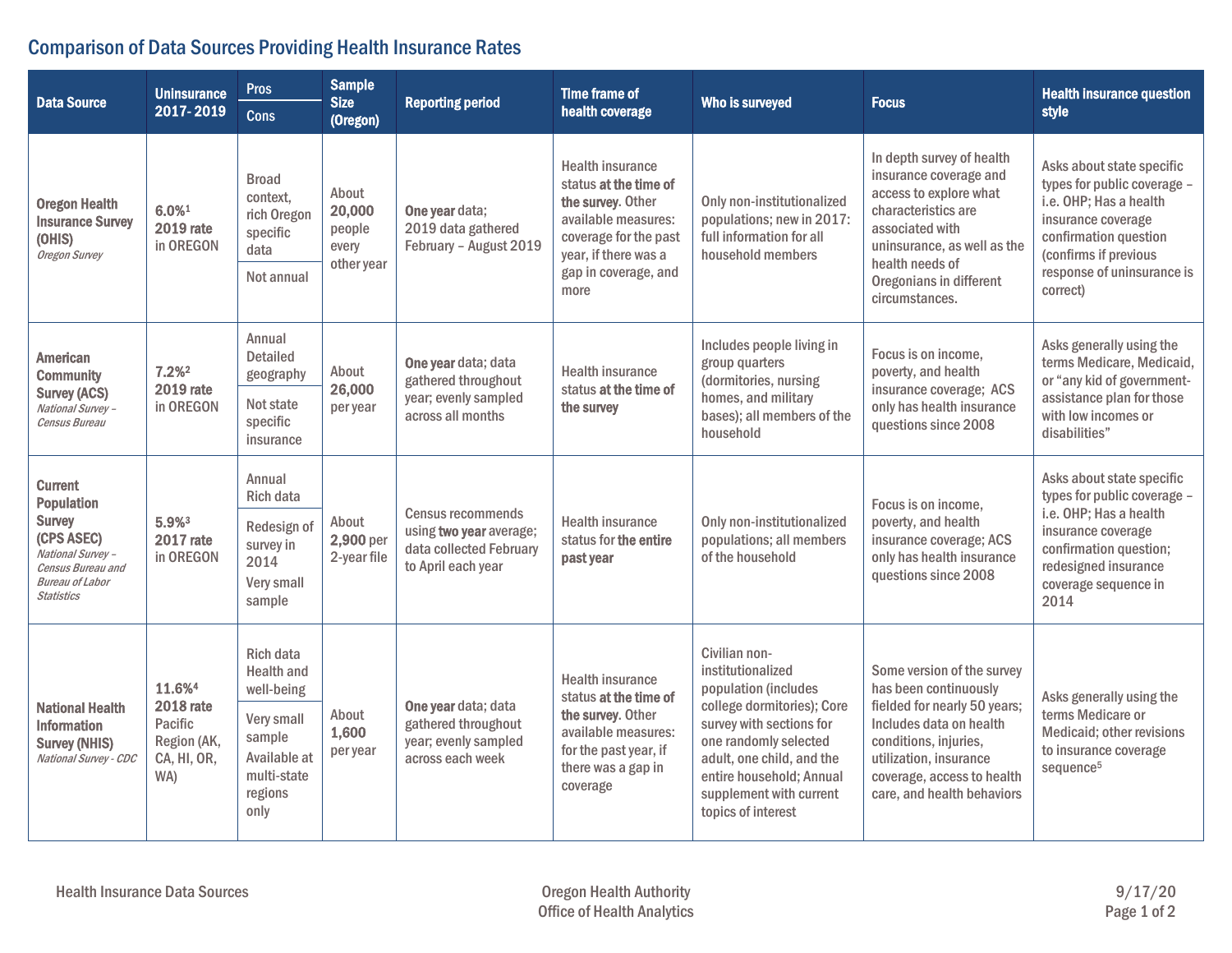## Comparison of Data Sources Providing Health Insurance Rates

| <b>Data Source</b>                                                                                                                                          | <b>Uninsurance</b><br>2017-2019                                                        | <b>Pros</b><br><b>Cons</b>                                                | <b>Sample</b><br><b>Size</b><br>(Oregon)         | <b>Reporting period</b>                                                                              | <b>Time frame of</b><br>health coverage                                                                                                                                       | Who is surveyed                                                                                                                                                                                                                                         | <b>Focus</b>                                                                                                                                                                                                                  | <b>Health insurance question</b><br>style                                                                                                                                                            |
|-------------------------------------------------------------------------------------------------------------------------------------------------------------|----------------------------------------------------------------------------------------|---------------------------------------------------------------------------|--------------------------------------------------|------------------------------------------------------------------------------------------------------|-------------------------------------------------------------------------------------------------------------------------------------------------------------------------------|---------------------------------------------------------------------------------------------------------------------------------------------------------------------------------------------------------------------------------------------------------|-------------------------------------------------------------------------------------------------------------------------------------------------------------------------------------------------------------------------------|------------------------------------------------------------------------------------------------------------------------------------------------------------------------------------------------------|
| <b>Oregon Health</b><br><b>Insurance Survey</b><br>(OHIS)<br>Oregon Survey                                                                                  | 6.0%1<br><b>2019</b> rate<br>in OREGON                                                 | <b>Broad</b><br>context,<br>rich Oregon<br>specific<br>data<br>Not annual | About<br>20,000<br>people<br>every<br>other year | One year data;<br>2019 data gathered<br>February - August 2019                                       | <b>Health insurance</b><br>status at the time of<br>the survey. Other<br>available measures:<br>coverage for the past<br>year, if there was a<br>gap in coverage, and<br>more | Only non-institutionalized<br>populations; new in 2017:<br>full information for all<br>household members                                                                                                                                                | In depth survey of health<br>insurance coverage and<br>access to explore what<br>characteristics are<br>associated with<br>uninsurance, as well as the<br>health needs of<br>Oregonians in different<br>circumstances.        | Asks about state specific<br>types for public coverage -<br>i.e. OHP; Has a health<br>insurance coverage<br>confirmation question<br>(confirms if previous<br>response of uninsurance is<br>correct) |
| <b>American</b><br><b>Community</b><br><b>Survey (ACS)</b><br>National Survey -<br>Census Bureau                                                            | 7.2% <sup>2</sup><br><b>2019 rate</b><br>in OREGON                                     | Annual<br><b>Detailed</b><br>geography                                    | About<br>26,000<br>per year                      | One year data; data<br>gathered throughout<br>year; evenly sampled<br>across all months              | <b>Health insurance</b><br>status at the time of<br>the survey                                                                                                                | Includes people living in<br>group quarters<br>(dormitories, nursing<br>homes, and military<br>bases); all members of the<br>household                                                                                                                  | Focus is on income.<br>poverty, and health<br>insurance coverage; ACS<br>only has health insurance<br>questions since 2008                                                                                                    | Asks generally using the<br>terms Medicare, Medicaid,<br>or "any kid of government-<br>assistance plan for those<br>with low incomes or<br>disabilities"                                             |
|                                                                                                                                                             |                                                                                        | Not state<br>specific<br>insurance                                        |                                                  |                                                                                                      |                                                                                                                                                                               |                                                                                                                                                                                                                                                         |                                                                                                                                                                                                                               |                                                                                                                                                                                                      |
| <b>Current</b><br><b>Population</b><br><b>Survey</b><br>(CPS ASEC)<br>National Survey -<br>Census Bureau and<br><b>Bureau of Labor</b><br><b>Statistics</b> | 5.9%3<br><b>2017 rate</b><br>in OREGON                                                 | Annual<br>Rich data                                                       | About<br>2,900 per<br>2-year file                | <b>Census recommends</b><br>using two year average;<br>data collected February<br>to April each year | <b>Health insurance</b><br>status for the entire<br>past year                                                                                                                 | Only non-institutionalized<br>populations; all members<br>of the household                                                                                                                                                                              | Focus is on income,<br>poverty, and health<br>insurance coverage; ACS<br>only has health insurance<br>questions since 2008                                                                                                    | Asks about state specific<br>types for public coverage -<br>i.e. OHP; Has a health<br>insurance coverage<br>confirmation question;<br>redesigned insurance<br>coverage sequence in<br>2014           |
|                                                                                                                                                             |                                                                                        | Redesign of<br>survey in<br>2014<br>Very small<br>sample                  |                                                  |                                                                                                      |                                                                                                                                                                               |                                                                                                                                                                                                                                                         |                                                                                                                                                                                                                               |                                                                                                                                                                                                      |
| <b>National Health</b><br><b>Information</b><br><b>Survey (NHIS)</b><br>National Survey - CDC                                                               | 11.6% <sup>4</sup><br><b>2018 rate</b><br>Pacific<br>Region (AK,<br>CA, HI, OR,<br>WA) | Rich data<br><b>Health and</b><br>well-being                              | About<br>1,600<br>per year                       | One year data; data<br>gathered throughout<br>year; evenly sampled<br>across each week               | <b>Health insurance</b><br>status at the time of<br>the survey. Other<br>available measures:<br>for the past year, if<br>there was a gap in<br>coverage                       | Civilian non-<br>institutionalized<br>population (includes<br>college dormitories); Core<br>survey with sections for<br>one randomly selected<br>adult, one child, and the<br>entire household; Annual<br>supplement with current<br>topics of interest | Some version of the survey<br>has been continuously<br>fielded for nearly 50 years;<br>Includes data on health<br>conditions, injuries,<br>utilization, insurance<br>coverage, access to health<br>care, and health behaviors | Asks generally using the<br>terms Medicare or<br>Medicaid; other revisions<br>to insurance coverage<br>sequence <sup>5</sup>                                                                         |
|                                                                                                                                                             |                                                                                        | Very small<br>sample<br>Available at<br>multi-state<br>regions<br>only    |                                                  |                                                                                                      |                                                                                                                                                                               |                                                                                                                                                                                                                                                         |                                                                                                                                                                                                                               |                                                                                                                                                                                                      |